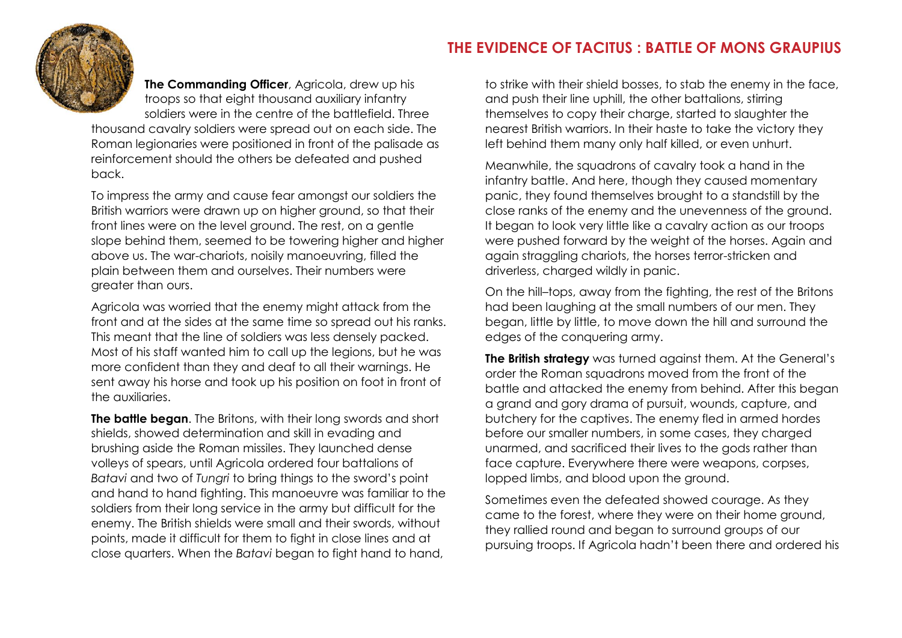**The Commanding Officer**, Agricola, drew up his troops so that eight thousand auxiliary infantry soldiers were in the centre of the battlefield. Three

thousand cavalry soldiers were spread out on each side. The Roman legionaries were positioned in front of the palisade as reinforcement should the others be defeated and pushed back.

To impress the army and cause fear amongst our soldiers the British warriors were drawn up on higher ground, so that their front lines were on the level ground. The rest, on a gentle slope behind them, seemed to be towering higher and higher above us. The war-chariots, noisily manoeuvring, filled the plain between them and ourselves. Their numbers were greater than ours.

Agricola was worried that the enemy might attack from the front and at the sides at the same time so spread out his ranks. This meant that the line of soldiers was less densely packed. Most of his staff wanted him to call up the legions, but he was more confident than they and deaf to all their warnings. He sent away his horse and took up his position on foot in front of the auxiliaries.

**The battle began**. The Britons, with their long swords and short shields, showed determination and skill in evading and brushing aside the Roman missiles. They launched dense volleys of spears, until Agricola ordered four battalions of *Batavi* and two of *Tungri* to bring things to the sword's point and hand to hand fighting. This manoeuvre was familiar to the soldiers from their long service in the army but difficult for the enemy. The British shields were small and their swords, without points, made it difficult for them to fight in close lines and at close quarters. When the *Batavi* began to fight hand to hand,

to strike with their shield bosses, to stab the enemy in the face, and push their line uphill, the other battalions, stirring themselves to copy their charge, started to slaughter the nearest British warriors. In their haste to take the victory they left behind them many only half killed, or even unhurt.

Meanwhile, the squadrons of cavalry took a hand in the infantry battle. And here, though they caused momentary panic, they found themselves brought to a standstill by the close ranks of the enemy and the unevenness of the ground. It began to look very little like a cavalry action as our troops were pushed forward by the weight of the horses. Again and again straggling chariots, the horses terror-stricken and driverless, charged wildly in panic.

On the hill–tops, away from the fighting, the rest of the Britons had been laughing at the small numbers of our men. They began, little by little, to move down the hill and surround the edges of the conquering army.

**The British strategy** was turned against them. At the General's order the Roman squadrons moved from the front of the battle and attacked the enemy from behind. After this began a grand and gory drama of pursuit, wounds, capture, and butchery for the captives. The enemy fled in armed hordes before our smaller numbers, in some cases, they charged unarmed, and sacrificed their lives to the gods rather than face capture. Everywhere there were weapons, corpses, lopped limbs, and blood upon the ground.

Sometimes even the defeated showed courage. As they came to the forest, where they were on their home ground, they rallied round and began to surround groups of our pursuing troops. If Agricola hadn't been there and ordered his